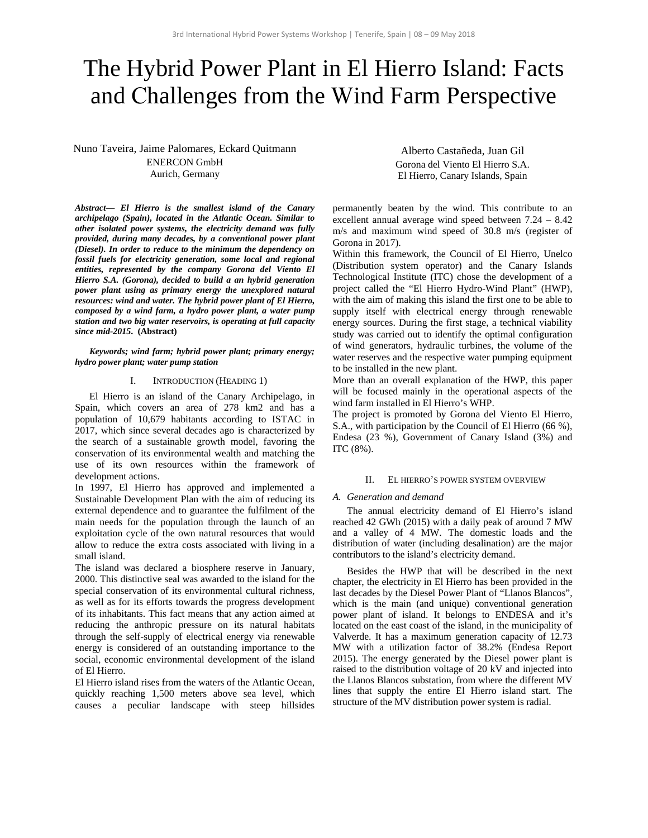# The Hybrid Power Plant in El Hierro Island: Facts and Challenges from the Wind Farm Perspective

Nuno Taveira, Jaime Palomares, Eckard Quitmann ENERCON GmbH Aurich, Germany

*Abstract***—** *El Hierro is the smallest island of the Canary archipelago (Spain), located in the Atlantic Ocean. Similar to other isolated power systems, the electricity demand was fully provided, during many decades, by a conventional power plant (Diesel). In order to reduce to the minimum the dependency on fossil fuels for electricity generation, some local and regional entities, represented by the company Gorona del Viento El Hierro S.A. (Gorona), decided to build a an hybrid generation power plant using as primary energy the unexplored natural resources: wind and water. The hybrid power plant of El Hierro, composed by a wind farm, a hydro power plant, a water pump station and two big water reservoirs, is operating at full capacity since mid-2015***. (Abstract)** 

*Keywords; wind farm; hybrid power plant; primary energy; hydro power plant; water pump station* 

#### I. INTRODUCTION (HEADING 1)

El Hierro is an island of the Canary Archipelago, in Spain, which covers an area of 278 km2 and has a population of 10,679 habitants according to ISTAC in 2017, which since several decades ago is characterized by the search of a sustainable growth model, favoring the conservation of its environmental wealth and matching the use of its own resources within the framework of development actions.

In 1997, El Hierro has approved and implemented a Sustainable Development Plan with the aim of reducing its external dependence and to guarantee the fulfilment of the main needs for the population through the launch of an exploitation cycle of the own natural resources that would allow to reduce the extra costs associated with living in a small island.

The island was declared a biosphere reserve in January, 2000. This distinctive seal was awarded to the island for the special conservation of its environmental cultural richness, as well as for its efforts towards the progress development of its inhabitants. This fact means that any action aimed at reducing the anthropic pressure on its natural habitats through the self-supply of electrical energy via renewable energy is considered of an outstanding importance to the social, economic environmental development of the island of El Hierro.

El Hierro island rises from the waters of the Atlantic Ocean, quickly reaching 1,500 meters above sea level, which causes a peculiar landscape with steep hillsides

Alberto Castañeda, Juan Gil Gorona del Viento El Hierro S.A. El Hierro, Canary Islands, Spain

permanently beaten by the wind. This contribute to an excellent annual average wind speed between 7.24 – 8.42 m/s and maximum wind speed of 30.8 m/s (register of Gorona in 2017).

Within this framework, the Council of El Hierro, Unelco (Distribution system operator) and the Canary Islands Technological Institute (ITC) chose the development of a project called the "El Hierro Hydro-Wind Plant" (HWP), with the aim of making this island the first one to be able to supply itself with electrical energy through renewable energy sources. During the first stage, a technical viability study was carried out to identify the optimal configuration of wind generators, hydraulic turbines, the volume of the water reserves and the respective water pumping equipment to be installed in the new plant.

More than an overall explanation of the HWP, this paper will be focused mainly in the operational aspects of the wind farm installed in El Hierro's WHP.

The project is promoted by Gorona del Viento El Hierro, S.A., with participation by the Council of El Hierro (66 %), Endesa (23 %), Government of Canary Island (3%) and ITC (8%).

#### II. EL HIERRO'S POWER SYSTEM OVERVIEW

#### *A. Generation and demand*

The annual electricity demand of El Hierro's island reached 42 GWh (2015) with a daily peak of around 7 MW and a valley of 4 MW. The domestic loads and the distribution of water (including desalination) are the major contributors to the island's electricity demand.

Besides the HWP that will be described in the next chapter, the electricity in El Hierro has been provided in the last decades by the Diesel Power Plant of "Llanos Blancos", which is the main (and unique) conventional generation power plant of island. It belongs to ENDESA and it's located on the east coast of the island, in the municipality of Valverde. It has a maximum generation capacity of 12.73 MW with a utilization factor of 38.2% (Endesa Report 2015). The energy generated by the Diesel power plant is raised to the distribution voltage of 20 kV and injected into the Llanos Blancos substation, from where the different MV lines that supply the entire El Hierro island start. The structure of the MV distribution power system is radial.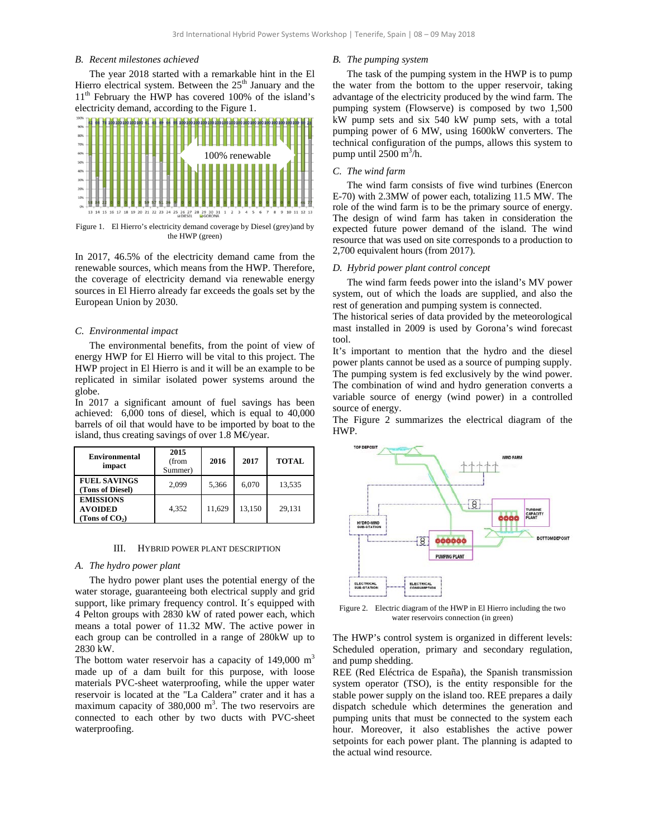## *B. Recent milestones achieved*

The year 2018 started with a remarkable hint in the El Hierro electrical system. Between the  $25<sup>th</sup>$  January and the 11<sup>th</sup> February the HWP has covered 100% of the island's electricity demand, according to the Figure 1.



Figure 1. El Hierro's electricity demand coverage by Diesel (grey)and by the HWP (green)

In 2017, 46.5% of the electricity demand came from the renewable sources, which means from the HWP. Therefore, the coverage of electricity demand via renewable energy sources in El Hierro already far exceeds the goals set by the European Union by 2030.

## *C. Environmental impact*

The environmental benefits, from the point of view of energy HWP for El Hierro will be vital to this project. The HWP project in El Hierro is and it will be an example to be replicated in similar isolated power systems around the globe.

In 2017 a significant amount of fuel savings has been achieved: 6,000 tons of diesel, which is equal to 40,000 barrels of oil that would have to be imported by boat to the island, thus creating savings of over 1.8 M€year.

| <b>Environmental</b><br>impact                         | 2015<br>(from<br>Summer) | 2016   | 2017   | <b>TOTAL</b> |
|--------------------------------------------------------|--------------------------|--------|--------|--------------|
| <b>FUEL SAVINGS</b><br>(Tons of Diesel)                | 2.099                    | 5,366  | 6.070  | 13,535       |
| <b>EMISSIONS</b><br><b>AVOIDED</b><br>(Tons of $CO2$ ) | 4.352                    | 11,629 | 13,150 | 29.131       |

## III. HYBRID POWER PLANT DESCRIPTION

#### *A. The hydro power plant*

The hydro power plant uses the potential energy of the water storage, guaranteeing both electrical supply and grid support, like primary frequency control. It´s equipped with 4 Pelton groups with 2830 kW of rated power each, which means a total power of 11.32 MW. The active power in each group can be controlled in a range of 280kW up to 2830 kW.

The bottom water reservoir has a capacity of  $149,000 \text{ m}^3$ made up of a dam built for this purpose, with loose materials PVC-sheet waterproofing, while the upper water reservoir is located at the "La Caldera" crater and it has a maximum capacity of  $380,000$  m<sup>3</sup>. The two reservoirs are connected to each other by two ducts with PVC-sheet waterproofing.

# *B. The pumping system*

The task of the pumping system in the HWP is to pump the water from the bottom to the upper reservoir, taking advantage of the electricity produced by the wind farm. The pumping system (Flowserve) is composed by two 1,500 kW pump sets and six 540 kW pump sets, with a total pumping power of 6 MW, using 1600kW converters. The technical configuration of the pumps, allows this system to pump until  $2500 \text{ m}^3/\text{h}$ .

## *C. The wind farm*

The wind farm consists of five wind turbines (Enercon E-70) with 2.3MW of power each, totalizing 11.5 MW. The role of the wind farm is to be the primary source of energy. The design of wind farm has taken in consideration the expected future power demand of the island. The wind resource that was used on site corresponds to a production to 2,700 equivalent hours (from 2017).

# *D. Hybrid power plant control concept*

The wind farm feeds power into the island's MV power system, out of which the loads are supplied, and also the rest of generation and pumping system is connected.

The historical series of data provided by the meteorological mast installed in 2009 is used by Gorona's wind forecast tool.

It's important to mention that the hydro and the diesel power plants cannot be used as a source of pumping supply. The pumping system is fed exclusively by the wind power. The combination of wind and hydro generation converts a variable source of energy (wind power) in a controlled source of energy.

The Figure 2 summarizes the electrical diagram of the HWP.



Figure 2. Electric diagram of the HWP in El Hierro including the two water reservoirs connection (in green)

The HWP's control system is organized in different levels: Scheduled operation, primary and secondary regulation, and pump shedding.

REE (Red Eléctrica de España), the Spanish transmission system operator (TSO), is the entity responsible for the stable power supply on the island too. REE prepares a daily dispatch schedule which determines the generation and pumping units that must be connected to the system each hour. Moreover, it also establishes the active power setpoints for each power plant. The planning is adapted to the actual wind resource.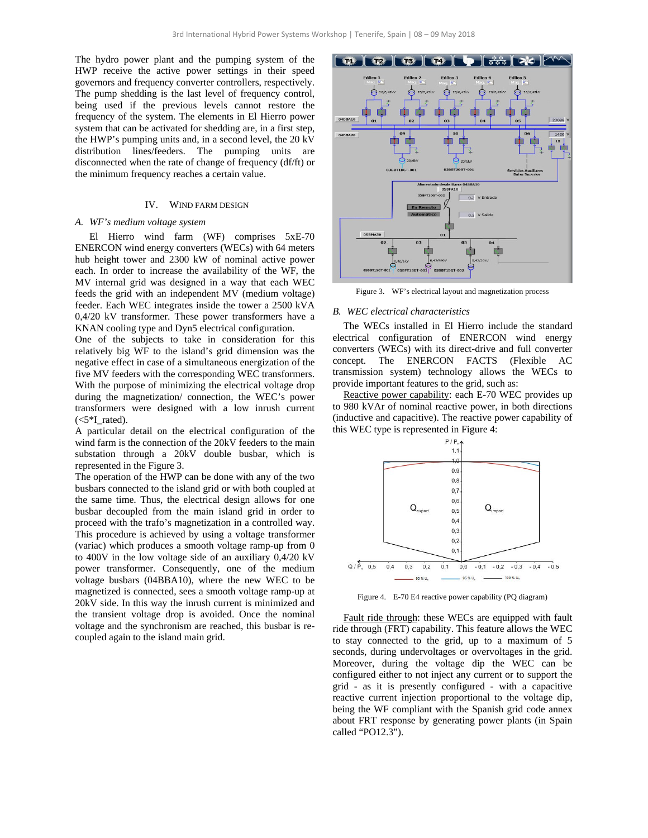The hydro power plant and the pumping system of the HWP receive the active power settings in their speed governors and frequency converter controllers, respectively. The pump shedding is the last level of frequency control, being used if the previous levels cannot restore the frequency of the system. The elements in El Hierro power system that can be activated for shedding are, in a first step, the HWP's pumping units and, in a second level, the 20 kV distribution lines/feeders. The pumping units are disconnected when the rate of change of frequency (df/ft) or the minimum frequency reaches a certain value.

## IV. WIND FARM DESIGN

#### *A. WF's medium voltage system*

El Hierro wind farm (WF) comprises 5xE-70 ENERCON wind energy converters (WECs) with 64 meters hub height tower and 2300 kW of nominal active power each. In order to increase the availability of the WF, the MV internal grid was designed in a way that each WEC feeds the grid with an independent MV (medium voltage) feeder. Each WEC integrates inside the tower a 2500 kVA 0,4/20 kV transformer. These power transformers have a KNAN cooling type and Dyn5 electrical configuration.

One of the subjects to take in consideration for this relatively big WF to the island's grid dimension was the negative effect in case of a simultaneous energization of the five MV feeders with the corresponding WEC transformers. With the purpose of minimizing the electrical voltage drop during the magnetization/ connection, the WEC's power transformers were designed with a low inrush current  $(<5*I$  rated).

A particular detail on the electrical configuration of the wind farm is the connection of the 20kV feeders to the main substation through a 20kV double busbar, which is represented in the Figure 3.

The operation of the HWP can be done with any of the two busbars connected to the island grid or with both coupled at the same time. Thus, the electrical design allows for one busbar decoupled from the main island grid in order to proceed with the trafo's magnetization in a controlled way. This procedure is achieved by using a voltage transformer (variac) which produces a smooth voltage ramp-up from 0 to 400V in the low voltage side of an auxiliary 0,4/20 kV power transformer. Consequently, one of the medium voltage busbars (04BBA10), where the new WEC to be magnetized is connected, sees a smooth voltage ramp-up at 20kV side. In this way the inrush current is minimized and the transient voltage drop is avoided. Once the nominal voltage and the synchronism are reached, this busbar is recoupled again to the island main grid.



Figure 3. WF's electrical layout and magnetization process

### *B. WEC electrical characteristics*

The WECs installed in El Hierro include the standard electrical configuration of ENERCON wind energy converters (WECs) with its direct-drive and full converter concept. The ENERCON FACTS (Flexible AC transmission system) technology allows the WECs to provide important features to the grid, such as:

Reactive power capability: each E-70 WEC provides up to 980 kVAr of nominal reactive power, in both directions (inductive and capacitive). The reactive power capability of this WEC type is represented in Figure 4:



Figure 4. E-70 E4 reactive power capability (PQ diagram)

Fault ride through: these WECs are equipped with fault ride through (FRT) capability. This feature allows the WEC to stay connected to the grid, up to a maximum of 5 seconds, during undervoltages or overvoltages in the grid. Moreover, during the voltage dip the WEC can be configured either to not inject any current or to support the grid - as it is presently configured - with a capacitive reactive current injection proportional to the voltage dip, being the WF compliant with the Spanish grid code annex about FRT response by generating power plants (in Spain called "PO12.3").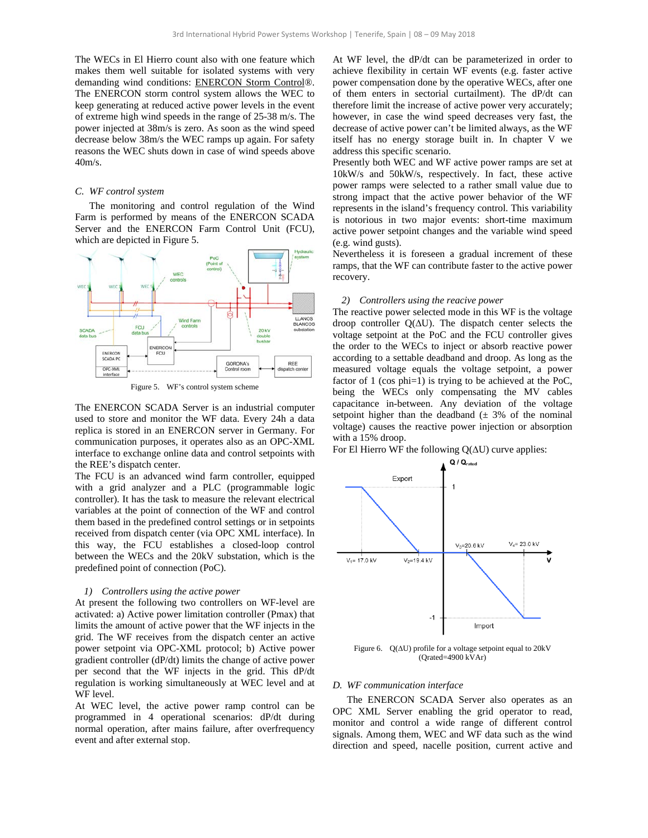The WECs in El Hierro count also with one feature which makes them well suitable for isolated systems with very demanding wind conditions: ENERCON Storm Control®. The ENERCON storm control system allows the WEC to keep generating at reduced active power levels in the event of extreme high wind speeds in the range of 25-38 m/s. The power injected at 38m/s is zero. As soon as the wind speed decrease below 38m/s the WEC ramps up again. For safety reasons the WEC shuts down in case of wind speeds above 40m/s.

## *C. WF control system*

The monitoring and control regulation of the Wind Farm is performed by means of the ENERCON SCADA Server and the ENERCON Farm Control Unit (FCU), which are depicted in Figure 5.



Figure 5. WF's control system scheme

The ENERCON SCADA Server is an industrial computer used to store and monitor the WF data. Every 24h a data replica is stored in an ENERCON server in Germany. For communication purposes, it operates also as an OPC-XML interface to exchange online data and control setpoints with the REE's dispatch center.

The FCU is an advanced wind farm controller, equipped with a grid analyzer and a PLC (programmable logic controller). It has the task to measure the relevant electrical variables at the point of connection of the WF and control them based in the predefined control settings or in setpoints received from dispatch center (via OPC XML interface). In this way, the FCU establishes a closed-loop control between the WECs and the 20kV substation, which is the predefined point of connection (PoC).

#### *1) Controllers using the active power*

At present the following two controllers on WF-level are activated: a) Active power limitation controller (Pmax) that limits the amount of active power that the WF injects in the grid. The WF receives from the dispatch center an active power setpoint via OPC-XML protocol; b) Active power gradient controller (dP/dt) limits the change of active power per second that the WF injects in the grid. This dP/dt regulation is working simultaneously at WEC level and at WF level.

At WEC level, the active power ramp control can be programmed in 4 operational scenarios: dP/dt during normal operation, after mains failure, after overfrequency event and after external stop.

At WF level, the dP/dt can be parameterized in order to achieve flexibility in certain WF events (e.g. faster active power compensation done by the operative WECs, after one of them enters in sectorial curtailment). The dP/dt can therefore limit the increase of active power very accurately; however, in case the wind speed decreases very fast, the decrease of active power can't be limited always, as the WF itself has no energy storage built in. In chapter V we address this specific scenario.

Presently both WEC and WF active power ramps are set at 10kW/s and 50kW/s, respectively. In fact, these active power ramps were selected to a rather small value due to strong impact that the active power behavior of the WF represents in the island's frequency control. This variability is notorious in two major events: short-time maximum active power setpoint changes and the variable wind speed (e.g. wind gusts).

Nevertheless it is foreseen a gradual increment of these ramps, that the WF can contribute faster to the active power recovery.

#### *2) Controllers using the reacive power*

The reactive power selected mode in this WF is the voltage droop controller Q(∆U). The dispatch center selects the voltage setpoint at the PoC and the FCU controller gives the order to the WECs to inject or absorb reactive power according to a settable deadband and droop. As long as the measured voltage equals the voltage setpoint, a power factor of 1 (cos phi=1) is trying to be achieved at the PoC, being the WECs only compensating the MV cables capacitance in-between. Any deviation of the voltage setpoint higher than the deadband  $(\pm 3\%$  of the nominal voltage) causes the reactive power injection or absorption with a 15% droop.

For El Hierro WF the following Q(∆U) curve applies:



Figure 6. Q(∆U) profile for a voltage setpoint equal to 20kV (Qrated=4900 kVAr)

#### *D. WF communication interface*

The ENERCON SCADA Server also operates as an OPC XML Server enabling the grid operator to read, monitor and control a wide range of different control signals. Among them, WEC and WF data such as the wind direction and speed, nacelle position, current active and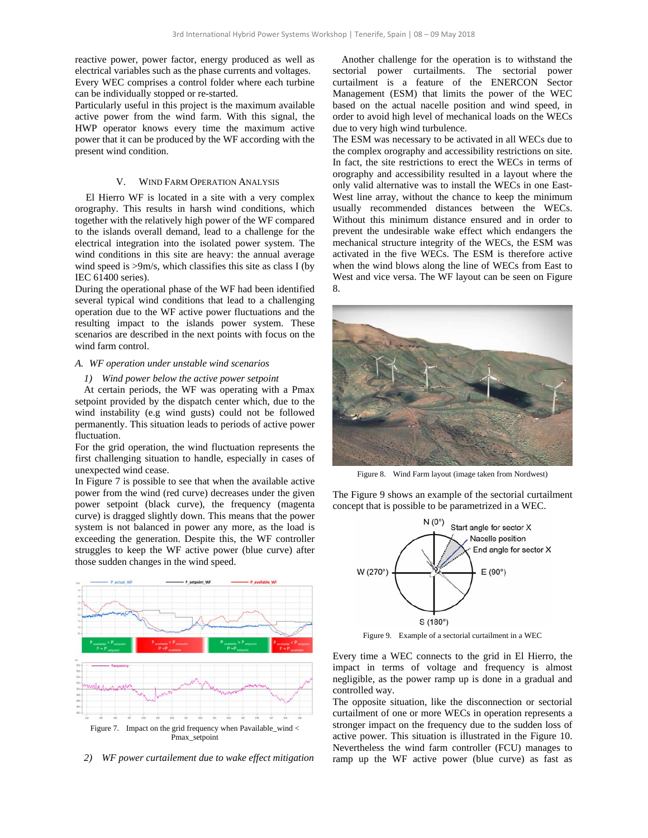reactive power, power factor, energy produced as well as electrical variables such as the phase currents and voltages. Every WEC comprises a control folder where each turbine can be individually stopped or re-started.

Particularly useful in this project is the maximum available active power from the wind farm. With this signal, the HWP operator knows every time the maximum active power that it can be produced by the WF according with the present wind condition.

## V. WIND FARM OPERATION ANALYSIS

El Hierro WF is located in a site with a very complex orography. This results in harsh wind conditions, which together with the relatively high power of the WF compared to the islands overall demand, lead to a challenge for the electrical integration into the isolated power system. The wind conditions in this site are heavy: the annual average wind speed is  $>9m/s$ , which classifies this site as class I (by IEC 61400 series).

During the operational phase of the WF had been identified several typical wind conditions that lead to a challenging operation due to the WF active power fluctuations and the resulting impact to the islands power system. These scenarios are described in the next points with focus on the wind farm control.

## *A. WF operation under unstable wind scenarios*

## *1) Wind power below the active power setpoint*

At certain periods, the WF was operating with a Pmax setpoint provided by the dispatch center which, due to the wind instability (e.g wind gusts) could not be followed permanently. This situation leads to periods of active power fluctuation.

For the grid operation, the wind fluctuation represents the first challenging situation to handle, especially in cases of unexpected wind cease.

In Figure 7 is possible to see that when the available active power from the wind (red curve) decreases under the given power setpoint (black curve), the frequency (magenta curve) is dragged slightly down. This means that the power system is not balanced in power any more, as the load is exceeding the generation. Despite this, the WF controller struggles to keep the WF active power (blue curve) after those sudden changes in the wind speed.



*2) WF power curtailement due to wake effect mitigation* 

Another challenge for the operation is to withstand the sectorial power curtailments. The sectorial power curtailment is a feature of the ENERCON Sector Management (ESM) that limits the power of the WEC based on the actual nacelle position and wind speed, in order to avoid high level of mechanical loads on the WECs due to very high wind turbulence.

The ESM was necessary to be activated in all WECs due to the complex orography and accessibility restrictions on site. In fact, the site restrictions to erect the WECs in terms of orography and accessibility resulted in a layout where the only valid alternative was to install the WECs in one East-West line array, without the chance to keep the minimum usually recommended distances between the WECs. Without this minimum distance ensured and in order to prevent the undesirable wake effect which endangers the mechanical structure integrity of the WECs, the ESM was activated in the five WECs. The ESM is therefore active when the wind blows along the line of WECs from East to West and vice versa. The WF layout can be seen on Figure 8.



Figure 8. Wind Farm layout (image taken from Nordwest)

The Figure 9 shows an example of the sectorial curtailment concept that is possible to be parametrized in a WEC.



Figure 9. Example of a sectorial curtailment in a WEC

Every time a WEC connects to the grid in El Hierro, the impact in terms of voltage and frequency is almost negligible, as the power ramp up is done in a gradual and controlled way.

The opposite situation, like the disconnection or sectorial curtailment of one or more WECs in operation represents a stronger impact on the frequency due to the sudden loss of active power. This situation is illustrated in the Figure 10. Nevertheless the wind farm controller (FCU) manages to ramp up the WF active power (blue curve) as fast as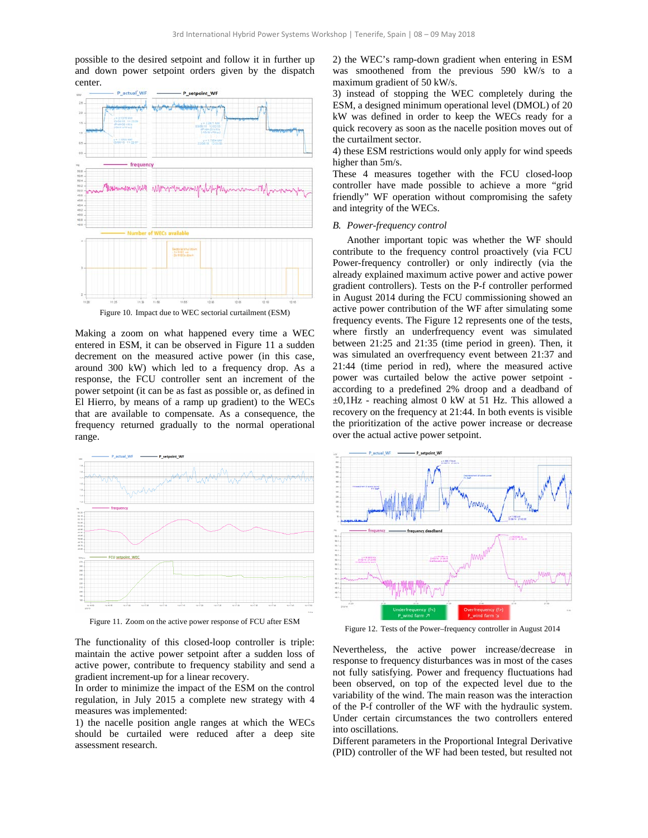possible to the desired setpoint and follow it in further up and down power setpoint orders given by the dispatch center.



Making a zoom on what happened every time a WEC entered in ESM, it can be observed in Figure 11 a sudden decrement on the measured active power (in this case, around 300 kW) which led to a frequency drop. As a response, the FCU controller sent an increment of the power setpoint (it can be as fast as possible or, as defined in El Hierro, by means of a ramp up gradient) to the WECs that are available to compensate. As a consequence, the frequency returned gradually to the normal operational range.



Figure 11. Zoom on the active power response of FCU after ESM

The functionality of this closed-loop controller is triple: maintain the active power setpoint after a sudden loss of active power, contribute to frequency stability and send a gradient increment-up for a linear recovery.

In order to minimize the impact of the ESM on the control regulation, in July 2015 a complete new strategy with 4 measures was implemented:

1) the nacelle position angle ranges at which the WECs should be curtailed were reduced after a deep site assessment research.

2) the WEC's ramp-down gradient when entering in ESM was smoothened from the previous 590 kW/s to a maximum gradient of 50 kW/s.

3) instead of stopping the WEC completely during the ESM, a designed minimum operational level (DMOL) of 20 kW was defined in order to keep the WECs ready for a quick recovery as soon as the nacelle position moves out of the curtailment sector.

4) these ESM restrictions would only apply for wind speeds higher than 5m/s.

These 4 measures together with the FCU closed-loop controller have made possible to achieve a more "grid friendly" WF operation without compromising the safety and integrity of the WECs.

## *B. Power-frequency control*

Another important topic was whether the WF should contribute to the frequency control proactively (via FCU Power-frequency controller) or only indirectly (via the already explained maximum active power and active power gradient controllers). Tests on the P-f controller performed in August 2014 during the FCU commissioning showed an active power contribution of the WF after simulating some frequency events. The Figure 12 represents one of the tests, where firstly an underfrequency event was simulated between 21:25 and 21:35 (time period in green). Then, it was simulated an overfrequency event between 21:37 and 21:44 (time period in red), where the measured active power was curtailed below the active power setpoint according to a predefined 2% droop and a deadband of ±0,1Hz - reaching almost 0 kW at 51 Hz. This allowed a recovery on the frequency at 21:44. In both events is visible the prioritization of the active power increase or decrease over the actual active power setpoint.



Figure 12. Tests of the Power–frequency controller in August 2014

Nevertheless, the active power increase/decrease in response to frequency disturbances was in most of the cases not fully satisfying. Power and frequency fluctuations had been observed, on top of the expected level due to the variability of the wind. The main reason was the interaction of the P-f controller of the WF with the hydraulic system. Under certain circumstances the two controllers entered into oscillations.

Different parameters in the Proportional Integral Derivative (PID) controller of the WF had been tested, but resulted not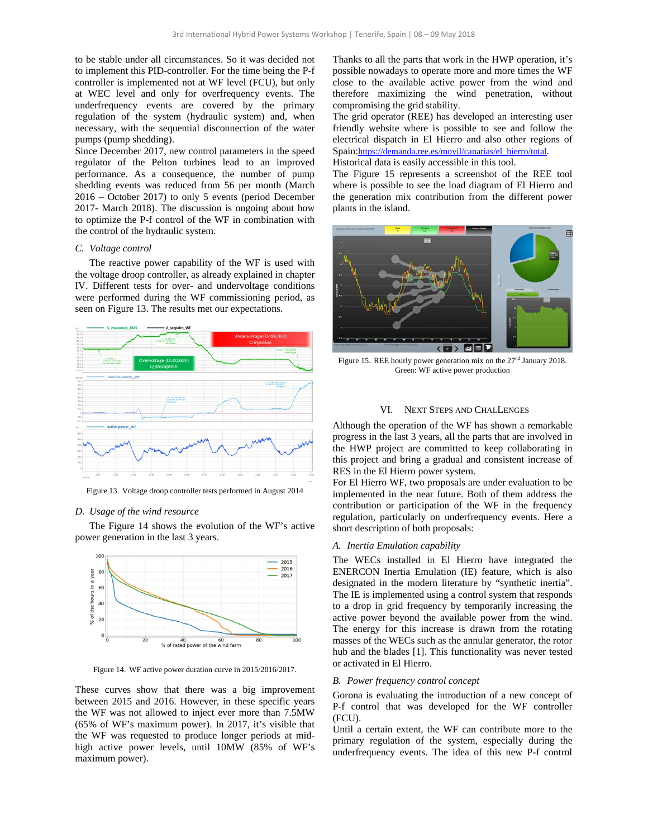to be stable under all circumstances. So it was decided not to implement this PID-controller. For the time being the P-f controller is implemented not at WF level (FCU), but only at WEC level and only for overfrequency events. The underfrequency events are covered by the primary regulation of the system (hydraulic system) and, when necessary, with the sequential disconnection of the water pumps (pump shedding).

Since December 2017, new control parameters in the speed regulator of the Pelton turbines lead to an improved performance. As a consequence, the number of pump shedding events was reduced from 56 per month (March 2016 – October 2017) to only 5 events (period December 2017- March 2018). The discussion is ongoing about how to optimize the P-f control of the WF in combination with the control of the hydraulic system.

#### *C. Voltage control*

The reactive power capability of the WF is used with the voltage droop controller, as already explained in chapter IV. Different tests for over- and undervoltage conditions were performed during the WF commissioning period, as seen on Figure 13. The results met our expectations.



Figure 13. Voltage droop controller tests performed in August 2014

## *D. Usage of the wind resource*

The Figure 14 shows the evolution of the WF's active power generation in the last 3 years.



Figure 14. WF active power duration curve in 2015/2016/2017.

These curves show that there was a big improvement between 2015 and 2016. However, in these specific years the WF was not allowed to inject ever more than 7.5MW (65% of WF's maximum power). In 2017, it's visible that the WF was requested to produce longer periods at midhigh active power levels, until 10MW (85% of WF's maximum power).

Thanks to all the parts that work in the HWP operation, it's possible nowadays to operate more and more times the WF close to the available active power from the wind and therefore maximizing the wind penetration, without compromising the grid stability.

The grid operator (REE) has developed an interesting user friendly website where is possible to see and follow the electrical dispatch in El Hierro and also other regions of Spain:https://demanda.ree.es/movil/canarias/el\_hierro/total.

Historical data is easily accessible in this tool.

The Figure 15 represents a screenshot of the REE tool where is possible to see the load diagram of El Hierro and the generation mix contribution from the different power plants in the island.



Figure 15. REE hourly power generation mix on the 27<sup>nd</sup> January 2018. Green: WF active power production

#### VI. NEXT STEPS AND CHALLENGES

Although the operation of the WF has shown a remarkable progress in the last 3 years, all the parts that are involved in the HWP project are committed to keep collaborating in this project and bring a gradual and consistent increase of RES in the El Hierro power system.

For El Hierro WF, two proposals are under evaluation to be implemented in the near future. Both of them address the contribution or participation of the WF in the frequency regulation, particularly on underfrequency events. Here a short description of both proposals:

## *A. Inertia Emulation capability*

The WECs installed in El Hierro have integrated the ENERCON Inertia Emulation (IE) feature, which is also designated in the modern literature by "synthetic inertia". The IE is implemented using a control system that responds to a drop in grid frequency by temporarily increasing the active power beyond the available power from the wind. The energy for this increase is drawn from the rotating masses of the WECs such as the annular generator, the rotor hub and the blades [1]. This functionality was never tested or activated in El Hierro.

#### *B. Power frequency control concept*

Gorona is evaluating the introduction of a new concept of P-f control that was developed for the WF controller (FCU).

Until a certain extent, the WF can contribute more to the primary regulation of the system, especially during the underfrequency events. The idea of this new P-f control